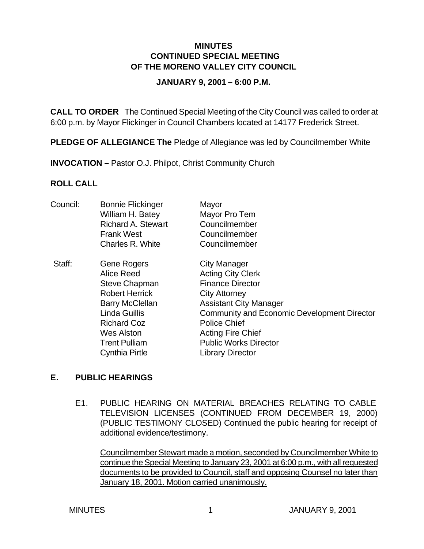### **MINUTES CONTINUED SPECIAL MEETING OF THE MORENO VALLEY CITY COUNCIL**

#### **JANUARY 9, 2001 – 6:00 P.M.**

**CALL TO ORDER** The Continued Special Meeting of the City Council was called to order at 6:00 p.m. by Mayor Flickinger in Council Chambers located at 14177 Frederick Street.

**PLEDGE OF ALLEGIANCE The** Pledge of Allegiance was led by Councilmember White

**INVOCATION –** Pastor O.J. Philpot, Christ Community Church

# **ROLL CALL**

| Council: | <b>Bonnie Flickinger</b><br>William H. Batey<br><b>Richard A. Stewart</b><br><b>Frank West</b><br>Charles R. White                                                                                                | Mayor<br>Mayor Pro Tem<br>Councilmember<br>Councilmember<br>Councilmember                                                                                                                                                                                                                        |
|----------|-------------------------------------------------------------------------------------------------------------------------------------------------------------------------------------------------------------------|--------------------------------------------------------------------------------------------------------------------------------------------------------------------------------------------------------------------------------------------------------------------------------------------------|
| Staff:   | Gene Rogers<br>Alice Reed<br><b>Steve Chapman</b><br><b>Robert Herrick</b><br><b>Barry McClellan</b><br><b>Linda Guillis</b><br><b>Richard Coz</b><br><b>Wes Alston</b><br><b>Trent Pulliam</b><br>Cynthia Pirtle | <b>City Manager</b><br><b>Acting City Clerk</b><br><b>Finance Director</b><br><b>City Attorney</b><br><b>Assistant City Manager</b><br>Community and Economic Development Director<br><b>Police Chief</b><br><b>Acting Fire Chief</b><br><b>Public Works Director</b><br><b>Library Director</b> |

# **E. PUBLIC HEARINGS**

E1. PUBLIC HEARING ON MATERIAL BREACHES RELATING TO CABLE TELEVISION LICENSES (CONTINUED FROM DECEMBER 19, 2000) (PUBLIC TESTIMONY CLOSED) Continued the public hearing for receipt of additional evidence/testimony.

Councilmember Stewart made a motion, seconded by Councilmember White to continue the Special Meeting to January 23, 2001 at 6:00 p.m., with all requested documents to be provided to Council, staff and opposing Counsel no later than January 18, 2001. Motion carried unanimously.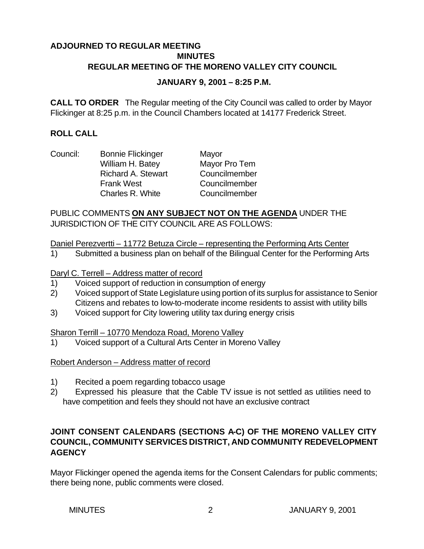# **ADJOURNED TO REGULAR MEETING MINUTES REGULAR MEETING OF THE MORENO VALLEY CITY COUNCIL**

#### **JANUARY 9, 2001 – 8:25 P.M.**

**CALL TO ORDER** The Regular meeting of the City Council was called to order by Mayor Flickinger at 8:25 p.m. in the Council Chambers located at 14177 Frederick Street.

## **ROLL CALL**

Council: Bonnie Flickinger Mayor

William H. Batey Mayor Pro Tem Richard A. Stewart Councilmember Frank West Councilmember Charles R. White Councilmember

## PUBLIC COMMENTS **ON ANY SUBJECT NOT ON THE AGENDA** UNDER THE JURISDICTION OF THE CITY COUNCIL ARE AS FOLLOWS:

Daniel Perezvertti – 11772 Betuza Circle – representing the Performing Arts Center

1) Submitted a business plan on behalf of the Bilingual Center for the Performing Arts

### Daryl C. Terrell – Address matter of record

- 1) Voiced support of reduction in consumption of energy
- 2) Voiced support of State Legislature using portion of its surplus for assistance to Senior Citizens and rebates to low-to-moderate income residents to assist with utility bills
- 3) Voiced support for City lowering utility tax during energy crisis

#### Sharon Terrill – 10770 Mendoza Road, Moreno Valley

1) Voiced support of a Cultural Arts Center in Moreno Valley

# Robert Anderson – Address matter of record

- 1) Recited a poem regarding tobacco usage
- 2) Expressed his pleasure that the Cable TV issue is not settled as utilities need to have competition and feels they should not have an exclusive contract

# **JOINT CONSENT CALENDARS (SECTIONS A-C) OF THE MORENO VALLEY CITY COUNCIL, COMMUNITY SERVICES DISTRICT, AND COMMUNITY REDEVELOPMENT AGENCY**

Mayor Flickinger opened the agenda items for the Consent Calendars for public comments; there being none, public comments were closed.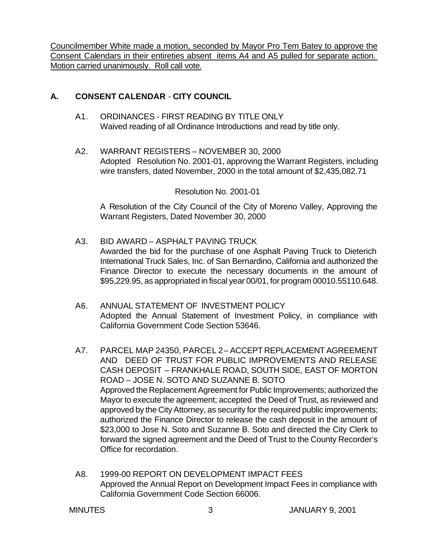Councilmember White made a motion, seconded by Mayor Pro Tem Batey to approve the Consent Calendars in their entireties absent items A4 and A5 pulled for separate action. Motion carried unanimously. Roll call vote.

# **A. CONSENT CALENDAR** - **CITY COUNCIL**

- A1. ORDINANCES FIRST READING BY TITLE ONLY Waived reading of all Ordinance Introductions and read by title only.
- A2. WARRANT REGISTERS NOVEMBER 30, 2000 Adopted Resolution No. 2001-01, approving the Warrant Registers, including wire transfers, dated November, 2000 in the total amount of \$2,435,082.71

Resolution No. 2001-01

A Resolution of the City Council of the City of Moreno Valley, Approving the Warrant Registers, Dated November 30, 2000

- A3. BID AWARD ASPHALT PAVING TRUCK Awarded the bid for the purchase of one Asphalt Paving Truck to Dieterich International Truck Sales, Inc. of San Bernardino, California and authorized the Finance Director to execute the necessary documents in the amount of \$95,229.95, as appropriated in fiscal year 00/01, for program 00010.55110.648.
- A6. ANNUAL STATEMENT OF INVESTMENT POLICY Adopted the Annual Statement of Investment Policy, in compliance with California Government Code Section 53646.
- A7. PARCEL MAP 24350, PARCEL 2 ACCEPT REPLACEMENT AGREEMENT AND DEED OF TRUST FOR PUBLIC IMPROVEMENTS AND RELEASE CASH DEPOSIT – FRANKHALE ROAD, SOUTH SIDE, EAST OF MORTON ROAD – JOSE N. SOTO AND SUZANNE B. SOTO Approved the Replacement Agreement for Public Improvements; authorized the Mayor to execute the agreement; accepted the Deed of Trust, as reviewed and approved by the City Attorney, as security for the required public improvements; authorized the Finance Director to release the cash deposit in the amount of \$23,000 to Jose N. Soto and Suzanne B. Soto and directed the City Clerk to forward the signed agreement and the Deed of Trust to the County Recorder's Office for recordation.
- A8. 1999-00 REPORT ON DEVELOPMENT IMPACT FEES Approved the Annual Report on Development Impact Fees in compliance with California Government Code Section 66006.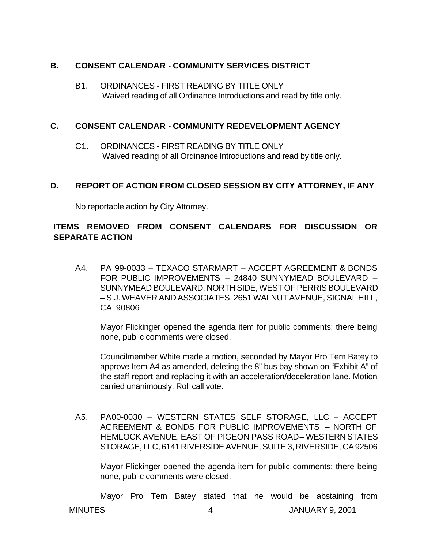## **B. CONSENT CALENDAR** - **COMMUNITY SERVICES DISTRICT**

B1. ORDINANCES - FIRST READING BY TITLE ONLY Waived reading of all Ordinance Introductions and read by title only.

### **C. CONSENT CALENDAR** - **COMMUNITY REDEVELOPMENT AGENCY**

C1. ORDINANCES - FIRST READING BY TITLE ONLY Waived reading of all Ordinance Introductions and read by title only.

# **D. REPORT OF ACTION FROM CLOSED SESSION BY CITY ATTORNEY, IF ANY**

No reportable action by City Attorney.

# **ITEMS REMOVED FROM CONSENT CALENDARS FOR DISCUSSION OR SEPARATE ACTION**

A4. PA 99-0033 – TEXACO STARMART – ACCEPT AGREEMENT & BONDS FOR PUBLIC IMPROVEMENTS – 24840 SUNNYMEAD BOULEVARD – SUNNYMEAD BOULEVARD, NORTH SIDE, WEST OF PERRIS BOULEVARD – S.J. WEAVER AND ASSOCIATES, 2651 WALNUT AVENUE, SIGNAL HILL, CA 90806

Mayor Flickinger opened the agenda item for public comments; there being none, public comments were closed.

Councilmember White made a motion, seconded by Mayor Pro Tem Batey to approve Item A4 as amended, deleting the 8" bus bay shown on "Exhibit A" of the staff report and replacing it with an acceleration/deceleration lane. Motion carried unanimously. Roll call vote.

A5. PA00-0030 – WESTERN STATES SELF STORAGE, LLC – ACCEPT AGREEMENT & BONDS FOR PUBLIC IMPROVEMENTS – NORTH OF HEMLOCK AVENUE, EAST OF PIGEON PASS ROAD-WESTERN STATES STORAGE, LLC, 6141 RIVERSIDE AVENUE, SUITE 3, RIVERSIDE, CA 92506

Mayor Flickinger opened the agenda item for public comments; there being none, public comments were closed.

MINUTES 4 JANUARY 9, 2001 Mayor Pro Tem Batey stated that he would be abstaining from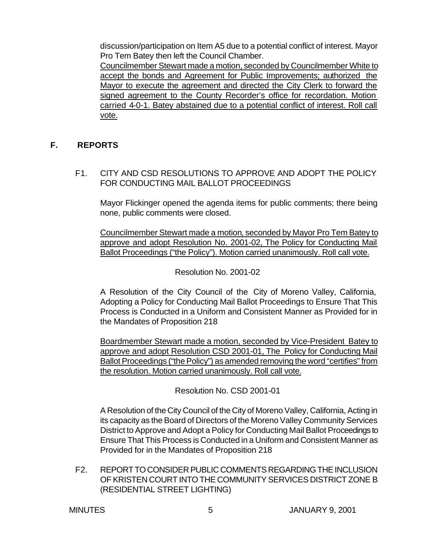discussion/participation on Item A5 due to a potential conflict of interest. Mayor Pro Tem Batey then left the Council Chamber.

Councilmember Stewart made a motion, seconded by Councilmember White to accept the bonds and Agreement for Public Improvements; authorized the Mayor to execute the agreement and directed the City Clerk to forward the signed agreement to the County Recorder's office for recordation. Motion carried 4-0-1. Batey abstained due to a potential conflict of interest. Roll call vote.

# **F. REPORTS**

F1. CITY AND CSD RESOLUTIONS TO APPROVE AND ADOPT THE POLICY FOR CONDUCTING MAIL BALLOT PROCEEDINGS

Mayor Flickinger opened the agenda items for public comments; there being none, public comments were closed.

Councilmember Stewart made a motion, seconded by Mayor Pro Tem Batey to approve and adopt Resolution No. 2001-02, The Policy for Conducting Mail Ballot Proceedings ("the Policy"). Motion carried unanimously. Roll call vote.

# Resolution No. 2001-02

A Resolution of the City Council of the City of Moreno Valley, California, Adopting a Policy for Conducting Mail Ballot Proceedings to Ensure That This Process is Conducted in a Uniform and Consistent Manner as Provided for in the Mandates of Proposition 218

Boardmember Stewart made a motion, seconded by Vice-President Batey to approve and adopt Resolution CSD 2001-01, The Policy for Conducting Mail Ballot Proceedings ("the Policy") as amended removing the word "certifies" from the resolution. Motion carried unanimously. Roll call vote.

Resolution No. CSD 2001-01

A Resolution of the City Council of the City of Moreno Valley, California, Acting in its capacity as the Board of Directors of the Moreno Valley Community Services District to Approve and Adopt a Policy for Conducting Mail Ballot Proceedings to Ensure That This Process is Conducted in a Uniform and Consistent Manner as Provided for in the Mandates of Proposition 218

F2. REPORT TO CONSIDER PUBLIC COMMENTS REGARDING THE INCLUSION OF KRISTEN COURT INTO THE COMMUNITY SERVICES DISTRICT ZONE B (RESIDENTIAL STREET LIGHTING)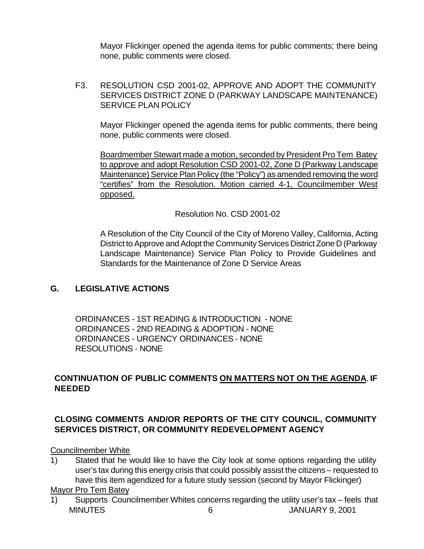Mayor Flickinger opened the agenda items for public comments; there being none, public comments were closed.

F3. RESOLUTION CSD 2001-02, APPROVE AND ADOPT THE COMMUNITY SERVICES DISTRICT ZONE D (PARKWAY LANDSCAPE MAINTENANCE) SERVICE PLAN POLICY

Mayor Flickinger opened the agenda items for public comments, there being none, public comments were closed.

Boardmember Stewart made a motion, seconded by President Pro Tem Batey to approve and adopt Resolution CSD 2001-02, Zone D (Parkway Landscape Maintenance) Service Plan Policy (the "Policy") as amended removing the word "certifies" from the Resolution. Motion carried 4-1, Councilmember West opposed.

Resolution No. CSD 2001-02

A Resolution of the City Council of the City of Moreno Valley, California, Acting District to Approve and Adopt the Community Services District Zone D (Parkway Landscape Maintenance) Service Plan Policy to Provide Guidelines and Standards for the Maintenance of Zone D Service Areas

# **G. LEGISLATIVE ACTIONS**

ORDINANCES - 1ST READING & INTRODUCTION - NONE ORDINANCES - 2ND READING & ADOPTION - NONE ORDINANCES - URGENCY ORDINANCES - NONE RESOLUTIONS - NONE

# **CONTINUATION OF PUBLIC COMMENTS ON MATTERS NOT ON THE AGENDA**, **IF NEEDED**

# **CLOSING COMMENTS AND/OR REPORTS OF THE CITY COUNCIL, COMMUNITY SERVICES DISTRICT, OR COMMUNITY REDEVELOPMENT AGENCY**

Councilmember White

1) Stated that he would like to have the City look at some options regarding the utility user's tax during this energy crisis that could possibly assist the citizens – requested to have this item agendized for a future study session (second by Mayor Flickinger)

# Mayor Pro Tem Batey

MINUTES 6 JANUARY 9, 2001 1) Supports Councilmember Whites concerns regarding the utility user's tax – feels that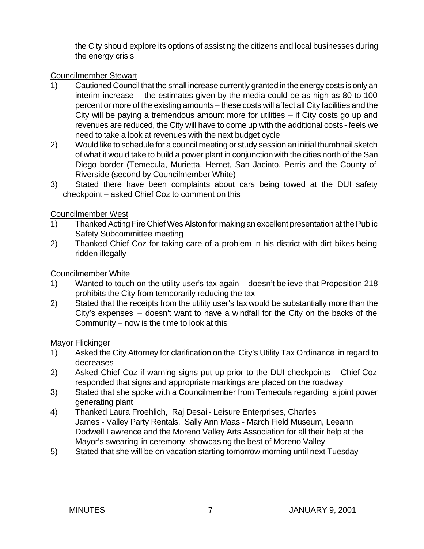the City should explore its options of assisting the citizens and local businesses during the energy crisis

# Councilmember Stewart

- 1) Cautioned Council that the small increase currently granted in the energy costs is only an interim increase – the estimates given by the media could be as high as 80 to 100 percent or more of the existing amounts – these costs will affect all City facilities and the City will be paying a tremendous amount more for utilities – if City costs go up and revenues are reduced, the City will have to come up with the additional costs - feels we need to take a look at revenues with the next budget cycle
- 2) Would like to schedule for a council meeting or study session an initial thumbnail sketch of what it would take to build a power plant in conjunction with the cities north of the San Diego border (Temecula, Murietta, Hemet, San Jacinto, Perris and the County of Riverside (second by Councilmember White)
- 3) Stated there have been complaints about cars being towed at the DUI safety checkpoint – asked Chief Coz to comment on this

### Councilmember West

- 1) Thanked Acting Fire Chief Wes Alston for making an excellent presentation at the Public Safety Subcommittee meeting
- 2) Thanked Chief Coz for taking care of a problem in his district with dirt bikes being ridden illegally

# Councilmember White

- 1) Wanted to touch on the utility user's tax again doesn't believe that Proposition 218 prohibits the City from temporarily reducing the tax
- 2) Stated that the receipts from the utility user's tax would be substantially more than the City's expenses – doesn't want to have a windfall for the City on the backs of the Community – now is the time to look at this

#### Mayor Flickinger

- 1) Asked the City Attorney for clarification on the City's Utility Tax Ordinance in regard to decreases
- 2) Asked Chief Coz if warning signs put up prior to the DUI checkpoints Chief Coz responded that signs and appropriate markings are placed on the roadway
- 3) Stated that she spoke with a Councilmember from Temecula regarding a joint power generating plant
- 4) Thanked Laura Froehlich, Raj Desai Leisure Enterprises, Charles James - Valley Party Rentals, Sally Ann Maas - March Field Museum, Leeann Dodwell Lawrence and the Moreno Valley Arts Association for all their help at the Mayor's swearing-in ceremony showcasing the best of Moreno Valley
- 5) Stated that she will be on vacation starting tomorrow morning until next Tuesday